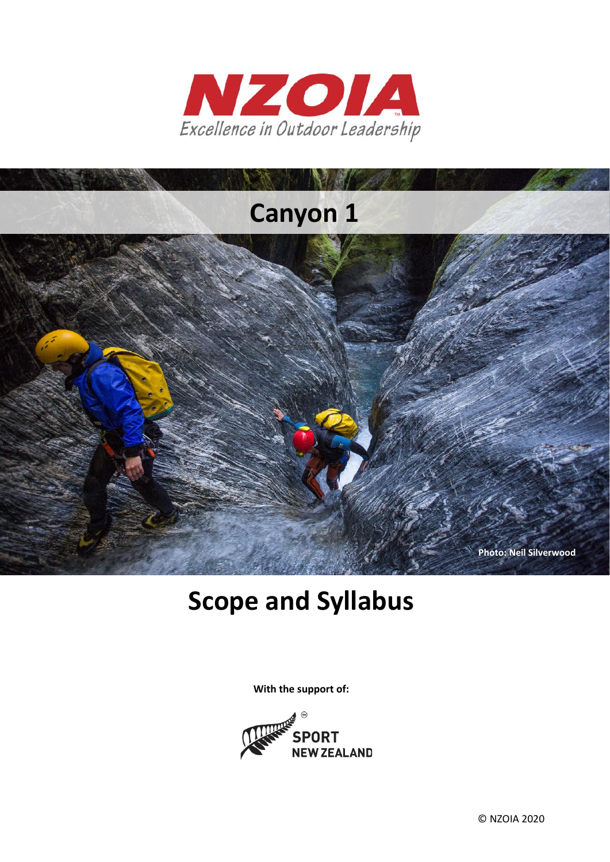



**With the support of:**

# **Scope and Syllabus**



Excellence in Outdoor Leadership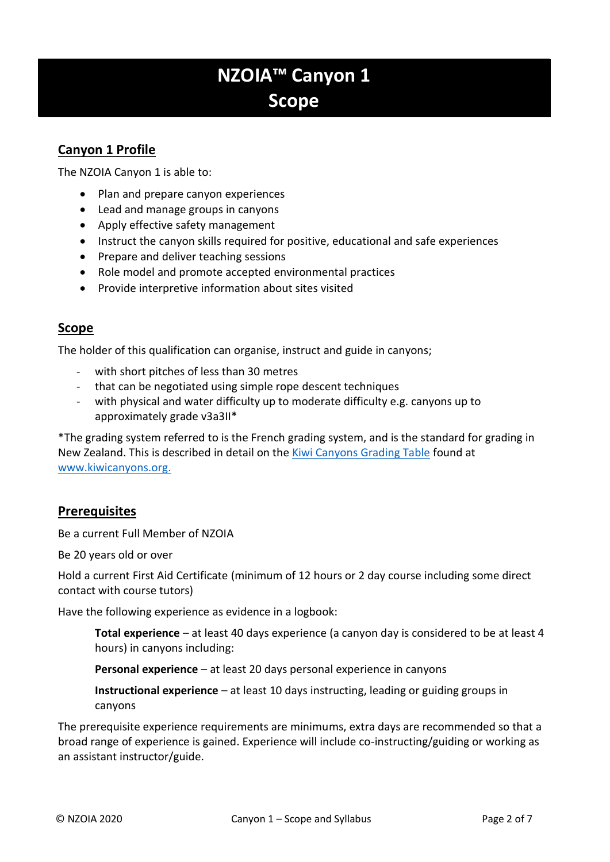# **NZOIA™ Canyon 1 Scope**

# **Canyon 1 Profile**

The NZOIA Canyon 1 is able to:

- Plan and prepare canyon experiences
- Lead and manage groups in canyons
- Apply effective safety management
- Instruct the canyon skills required for positive, educational and safe experiences
- Prepare and deliver teaching sessions
- Role model and promote accepted environmental practices
- Provide interpretive information about sites visited

### **Scope**

The holder of this qualification can organise, instruct and guide in canyons;

- with short pitches of less than 30 metres
- that can be negotiated using simple rope descent techniques
- with physical and water difficulty up to moderate difficulty e.g. canyons up to approximately grade v3a3II\*

\*The grading system referred to is the French grading system, and is the standard for grading in New Zealand. This is described in detail on the [Kiwi Canyons Grading Table](http://www.kiwicanyons.org/legend/grading/) found at [www.kiwicanyons.org.](http://www.kiwicanyons.org/)

#### **Prerequisites**

Be a current Full Member of NZOIA

Be 20 years old or over

Hold a current First Aid Certificate (minimum of 12 hours or 2 day course including some direct contact with course tutors)

Have the following experience as evidence in a logbook:

**Total experience** – at least 40 days experience (a canyon day is considered to be at least 4 hours) in canyons including:

**Personal experience** – at least 20 days personal experience in canyons

**Instructional experience** – at least 10 days instructing, leading or guiding groups in canyons

The prerequisite experience requirements are minimums, extra days are recommended so that a broad range of experience is gained. Experience will include co-instructing/guiding or working as an assistant instructor/guide.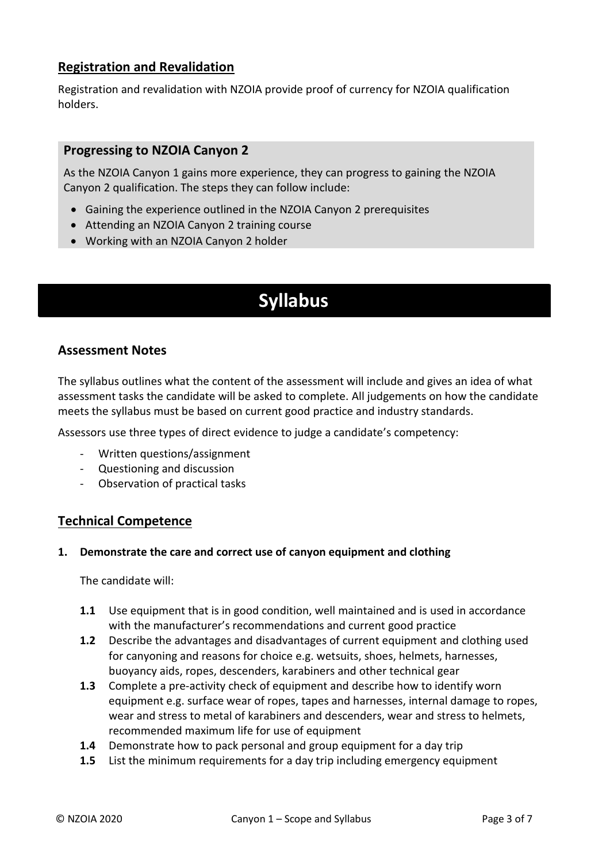# **Registration and Revalidation**

Registration and revalidation with NZOIA provide proof of currency for NZOIA qualification holders.

#### **Progressing to NZOIA Canyon 2**

As the NZOIA Canyon 1 gains more experience, they can progress to gaining the NZOIA Canyon 2 qualification. The steps they can follow include:

- Gaining the experience outlined in the NZOIA Canyon 2 prerequisites
- Attending an NZOIA Canyon 2 training course
- Working with an NZOIA Canyon 2 holder

# **Syllabus**

### **Assessment Notes**

The syllabus outlines what the content of the assessment will include and gives an idea of what assessment tasks the candidate will be asked to complete. All judgements on how the candidate meets the syllabus must be based on current good practice and industry standards.

Assessors use three types of direct evidence to judge a candidate's competency:

- Written questions/assignment
- Questioning and discussion
- Observation of practical tasks

#### **Technical Competence**

#### **1. Demonstrate the care and correct use of canyon equipment and clothing**

The candidate will:

- **1.1** Use equipment that is in good condition, well maintained and is used in accordance with the manufacturer's recommendations and current good practice
- **1.2** Describe the advantages and disadvantages of current equipment and clothing used for canyoning and reasons for choice e.g. wetsuits, shoes, helmets, harnesses, buoyancy aids, ropes, descenders, karabiners and other technical gear
- **1.3** Complete a pre-activity check of equipment and describe how to identify worn equipment e.g. surface wear of ropes, tapes and harnesses, internal damage to ropes, wear and stress to metal of karabiners and descenders, wear and stress to helmets, recommended maximum life for use of equipment
- **1.4** Demonstrate how to pack personal and group equipment for a day trip
- **1.5** List the minimum requirements for a day trip including emergency equipment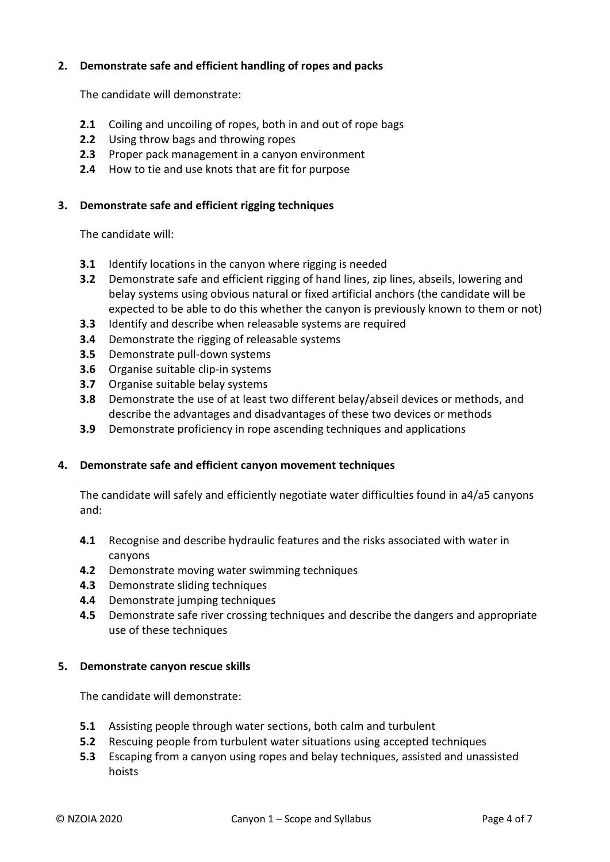#### **2. Demonstrate safe and efficient handling of ropes and packs**

The candidate will demonstrate:

- **2.1** Coiling and uncoiling of ropes, both in and out of rope bags
- **2.2** Using throw bags and throwing ropes
- **2.3** Proper pack management in a canyon environment
- **2.4** How to tie and use knots that are fit for purpose

#### **3. Demonstrate safe and efficient rigging techniques**

The candidate will:

- **3.1** Identify locations in the canyon where rigging is needed
- **3.2** Demonstrate safe and efficient rigging of hand lines, zip lines, abseils, lowering and belay systems using obvious natural or fixed artificial anchors (the candidate will be expected to be able to do this whether the canyon is previously known to them or not)
- **3.3** Identify and describe when releasable systems are required
- **3.4** Demonstrate the rigging of releasable systems
- **3.5** Demonstrate pull-down systems
- **3.6** Organise suitable clip-in systems
- **3.7** Organise suitable belay systems
- **3.8** Demonstrate the use of at least two different belay/abseil devices or methods, and describe the advantages and disadvantages of these two devices or methods
- **3.9** Demonstrate proficiency in rope ascending techniques and applications

#### **4. Demonstrate safe and efficient canyon movement techniques**

The candidate will safely and efficiently negotiate water difficulties found in a4/a5 canyons and:

- **4.1** Recognise and describe hydraulic features and the risks associated with water in canyons
- **4.2** Demonstrate moving water swimming techniques
- **4.3** Demonstrate sliding techniques
- **4.4** Demonstrate jumping techniques
- **4.5** Demonstrate safe river crossing techniques and describe the dangers and appropriate use of these techniques

#### **5. Demonstrate canyon rescue skills**

The candidate will demonstrate:

- **5.1** Assisting people through water sections, both calm and turbulent
- **5.2** Rescuing people from turbulent water situations using accepted techniques
- **5.3** Escaping from a canyon using ropes and belay techniques, assisted and unassisted hoists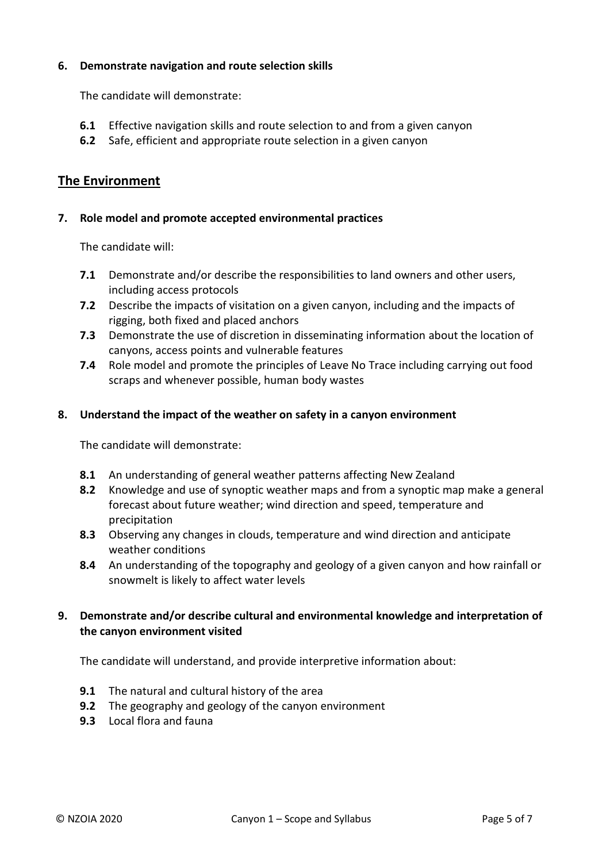#### **6. Demonstrate navigation and route selection skills**

The candidate will demonstrate:

- **6.1** Effective navigation skills and route selection to and from a given canyon
- **6.2** Safe, efficient and appropriate route selection in a given canyon

## **The Environment**

#### **7. Role model and promote accepted environmental practices**

The candidate will:

- **7.1** Demonstrate and/or describe the responsibilities to land owners and other users, including access protocols
- **7.2** Describe the impacts of visitation on a given canyon, including and the impacts of rigging, both fixed and placed anchors
- **7.3** Demonstrate the use of discretion in disseminating information about the location of canyons, access points and vulnerable features
- **7.4** Role model and promote the principles of Leave No Trace including carrying out food scraps and whenever possible, human body wastes

#### **8. Understand the impact of the weather on safety in a canyon environment**

The candidate will demonstrate:

- **8.1** An understanding of general weather patterns affecting New Zealand
- **8.2** Knowledge and use of synoptic weather maps and from a synoptic map make a general forecast about future weather; wind direction and speed, temperature and precipitation
- **8.3** Observing any changes in clouds, temperature and wind direction and anticipate weather conditions
- **8.4** An understanding of the topography and geology of a given canyon and how rainfall or snowmelt is likely to affect water levels

#### **9. Demonstrate and/or describe cultural and environmental knowledge and interpretation of the canyon environment visited**

The candidate will understand, and provide interpretive information about:

- **9.1** The natural and cultural history of the area
- **9.2** The geography and geology of the canyon environment
- **9.3** Local flora and fauna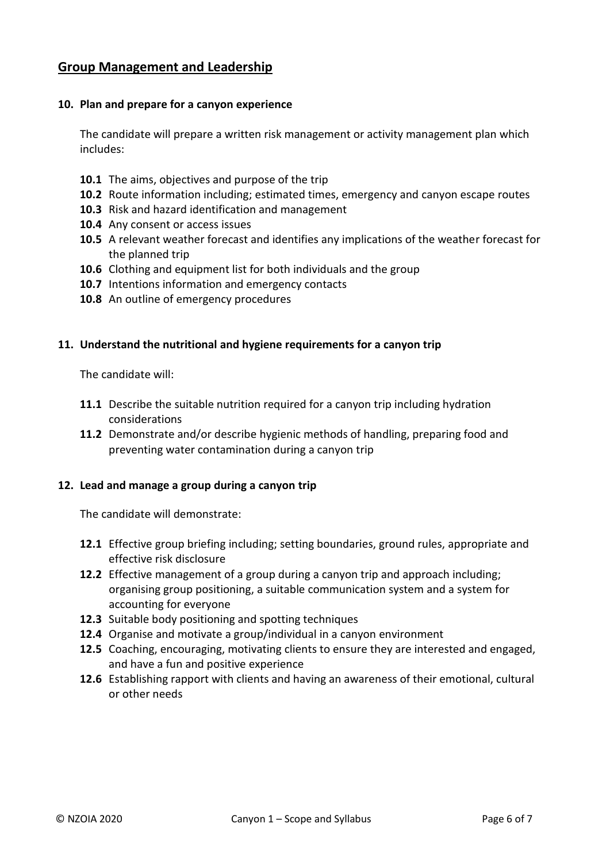# **Group Management and Leadership**

#### **10. Plan and prepare for a canyon experience**

The candidate will prepare a written risk management or activity management plan which includes:

- **10.1** The aims, objectives and purpose of the trip
- **10.2** Route information including; estimated times, emergency and canyon escape routes
- **10.3** Risk and hazard identification and management
- **10.4** Any consent or access issues
- **10.5** A relevant weather forecast and identifies any implications of the weather forecast for the planned trip
- **10.6** Clothing and equipment list for both individuals and the group
- **10.7** Intentions information and emergency contacts
- **10.8** An outline of emergency procedures

#### **11. Understand the nutritional and hygiene requirements for a canyon trip**

The candidate will:

- **11.1** Describe the suitable nutrition required for a canyon trip including hydration considerations
- **11.2** Demonstrate and/or describe hygienic methods of handling, preparing food and preventing water contamination during a canyon trip

#### **12. Lead and manage a group during a canyon trip**

The candidate will demonstrate:

- **12.1** Effective group briefing including; setting boundaries, ground rules, appropriate and effective risk disclosure
- **12.2** Effective management of a group during a canyon trip and approach including; organising group positioning, a suitable communication system and a system for accounting for everyone
- **12.3** Suitable body positioning and spotting techniques
- **12.4** Organise and motivate a group/individual in a canyon environment
- **12.5** Coaching, encouraging, motivating clients to ensure they are interested and engaged, and have a fun and positive experience
- **12.6** Establishing rapport with clients and having an awareness of their emotional, cultural or other needs